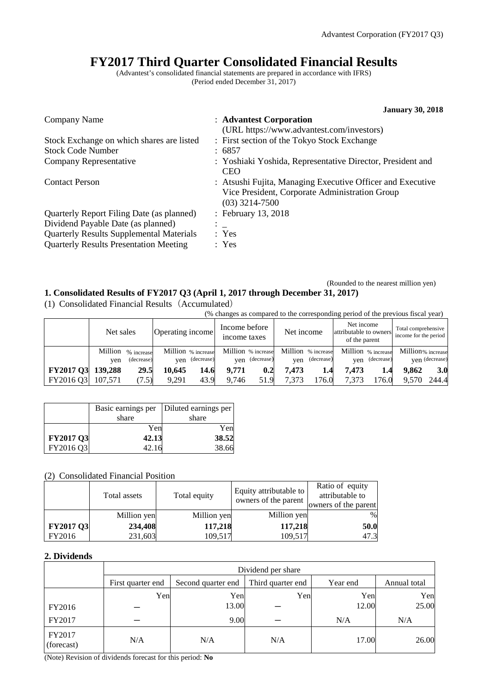# **FY2017 Third Quarter Consolidated Financial Results**

(Advantest's consolidated financial statements are prepared in accordance with IFRS) (Period ended December 31, 2017)

|                                                 | <b>January 30, 2018</b>                                                                                                          |
|-------------------------------------------------|----------------------------------------------------------------------------------------------------------------------------------|
| Company Name                                    | : Advantest Corporation                                                                                                          |
|                                                 | (URL https://www.advantest.com/investors)                                                                                        |
| Stock Exchange on which shares are listed       | : First section of the Tokyo Stock Exchange                                                                                      |
| <b>Stock Code Number</b>                        | : 6857                                                                                                                           |
| Company Representative                          | : Yoshiaki Yoshida, Representative Director, President and<br><b>CEO</b>                                                         |
| <b>Contact Person</b>                           | : Atsushi Fujita, Managing Executive Officer and Executive<br>Vice President, Corporate Administration Group<br>$(03)$ 3214-7500 |
| Quarterly Report Filing Date (as planned)       | : February 13, 2018                                                                                                              |
| Dividend Payable Date (as planned)              |                                                                                                                                  |
| <b>Quarterly Results Supplemental Materials</b> | : Yes                                                                                                                            |
| <b>Quarterly Results Presentation Meeting</b>   | : Yes                                                                                                                            |
|                                                 |                                                                                                                                  |

## (Rounded to the nearest million yen) **1. Consolidated Results of FY2017 Q3 (April 1, 2017 through December 31, 2017)**

(1) Consolidated Financial Results (Accumulated)<br>( $\frac{(0.6 \text{ changes as} \text{ comp})}{\sqrt{2}}$ 

| .                | (% changes as compared to the corresponding period of the previous fiscal year) |            |                  |                    |                               |                    |            |                    |                                                       |            |                                              |                |
|------------------|---------------------------------------------------------------------------------|------------|------------------|--------------------|-------------------------------|--------------------|------------|--------------------|-------------------------------------------------------|------------|----------------------------------------------|----------------|
|                  | Net sales                                                                       |            | Operating income |                    | Income before<br>income taxes |                    | Net income |                    | Net income<br>attributable to owners<br>of the parent |            | Total comprehensive<br>income for the period |                |
|                  | Million                                                                         | % increase |                  | Million % increase |                               | Million % increase |            | Million % increase | Million % increase                                    |            | Million% increase                            |                |
|                  | ven                                                                             | (decrease) |                  | yen (decrease)     | ven                           | (decrease)         | ven        | (decrease)         | ven                                                   | (decrease) |                                              | ven (decrease) |
| <b>FY2017 Q3</b> | 139,288                                                                         | 29.5       | 10.645           | 14.6               | 9.771                         | 0.2                | 7.473      | 1.4                | 7.473                                                 | 1.4        | 9.862                                        | 3.0            |
| FY2016 Q3        | 107.571                                                                         | (7.5)      | 9.291            | 43.9               | 9.746                         | 51.9               | 7.373      | .76.0              | 7.373                                                 | .76.0      | 9.570                                        | 244.4          |

|                  |       | Basic earnings per   Diluted earnings per |
|------------------|-------|-------------------------------------------|
|                  | share | share                                     |
|                  | Yen   | Yen                                       |
| <b>FY2017 Q3</b> | 42.13 | 38.52                                     |
| FY2016 Q3        | 42.16 | 38.66                                     |

## (2) Consolidated Financial Position

|                  | Total assets | Total equity | Equity attributable to<br>owners of the parent | Ratio of equity<br>attributable to<br>owners of the parent |
|------------------|--------------|--------------|------------------------------------------------|------------------------------------------------------------|
|                  | Million yen  | Million yen  | Million yen                                    | $\%$                                                       |
| <b>FY2017 Q3</b> | 234,408      | 117,218      | 117,218                                        | 50.0                                                       |
| FY2016           | 231,603      | 109,517      | 109,517                                        | 47.3                                                       |

## **2. Dividends**

|                      | Dividend per share |                    |                   |          |              |  |  |  |
|----------------------|--------------------|--------------------|-------------------|----------|--------------|--|--|--|
|                      | First quarter end  | Second quarter end | Third quarter end | Year end | Annual total |  |  |  |
|                      | Yen                | Yen                | Yen               | Yen      | Yen          |  |  |  |
| FY2016               |                    | 13.00              |                   | 12.00    | 25.00        |  |  |  |
| FY2017               |                    | 9.00               |                   | N/A      | N/A          |  |  |  |
| FY2017<br>(forecast) | N/A                | N/A                | N/A               | 17.00    | 26.00        |  |  |  |

(Note) Revision of dividends forecast for this period: **No**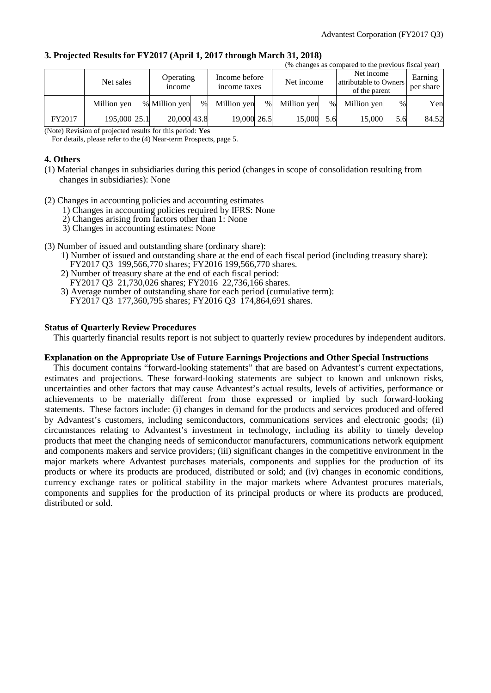|        | (% changes as compared to the previous fiscal year) |  |                            |      |                               |      |             |      |                                                       |               |                      |
|--------|-----------------------------------------------------|--|----------------------------|------|-------------------------------|------|-------------|------|-------------------------------------------------------|---------------|----------------------|
|        | Net sales                                           |  | Operating<br><i>n</i> come |      | Income before<br>income taxes |      | Net income  |      | Net income<br>attributable to Owners<br>of the parent |               | Earning<br>per share |
|        | Million yen                                         |  | % Million yen              | $\%$ | Million ven                   | $\%$ | Million yen | $\%$ | Million yen                                           | $\frac{0}{0}$ | Yen                  |
| FY2017 | 195,000 25.1                                        |  | 20,000 43.8                |      | 19,000 26.5                   |      | 15,000      | 5.6  | 15,000                                                | 5.6           | 84.52                |

#### **3. Projected Results for FY2017 (April 1, 2017 through March 31, 2018)**

(Note) Revision of projected results for this period: **Yes**

For details, please refer to the (4) Near-term Prospects, page 5.

## **4. Others**

- (1) Material changes in subsidiaries during this period (changes in scope of consolidation resulting from changes in subsidiaries): None
- (2) Changes in accounting policies and accounting estimates
	- 1) Changes in accounting policies required by IFRS: None
	- 2) Changes arising from factors other than 1: None
	- 3) Changes in accounting estimates: None
- (3) Number of issued and outstanding share (ordinary share):
	- 1) Number of issued and outstanding share at the end of each fiscal period (including treasury share): FY2017 Q3 199,566,770 shares; FY2016 199,566,770 shares.
	- 2) Number of treasury share at the end of each fiscal period: FY2017 Q3 21,730,026 shares; FY2016 22,736,166 shares.
	- 3) Average number of outstanding share for each period (cumulative term): FY2017 Q3 177,360,795 shares; FY2016 Q3 174,864,691 shares.

#### **Status of Quarterly Review Procedures**

This quarterly financial results report is not subject to quarterly review procedures by independent auditors.

#### **Explanation on the Appropriate Use of Future Earnings Projections and Other Special Instructions**

This document contains "forward-looking statements" that are based on Advantest's current expectations, estimates and projections. These forward-looking statements are subject to known and unknown risks, uncertainties and other factors that may cause Advantest's actual results, levels of activities, performance or achievements to be materially different from those expressed or implied by such forward-looking statements. These factors include: (i) changes in demand for the products and services produced and offered by Advantest's customers, including semiconductors, communications services and electronic goods; (ii) circumstances relating to Advantest's investment in technology, including its ability to timely develop products that meet the changing needs of semiconductor manufacturers, communications network equipment and components makers and service providers; (iii) significant changes in the competitive environment in the major markets where Advantest purchases materials, components and supplies for the production of its products or where its products are produced, distributed or sold; and (iv) changes in economic conditions, currency exchange rates or political stability in the major markets where Advantest procures materials, components and supplies for the production of its principal products or where its products are produced, distributed or sold.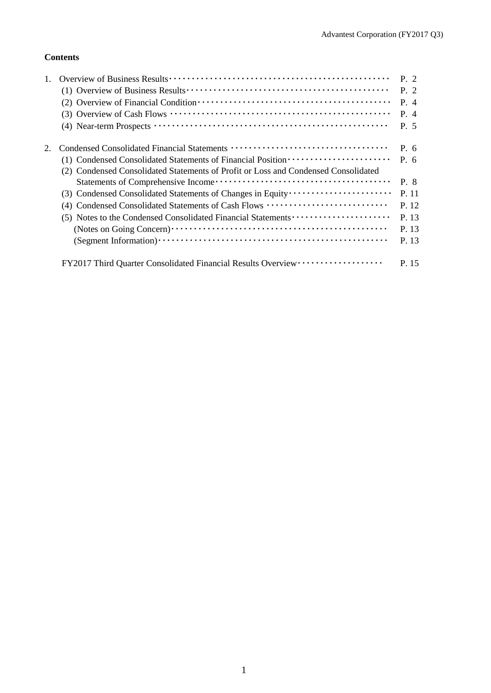# **Contents**

|                                                                                    | $P_{\perp}$ 2 |
|------------------------------------------------------------------------------------|---------------|
|                                                                                    | P. 2          |
|                                                                                    | P. 4          |
|                                                                                    | P. 4          |
|                                                                                    | P. 5          |
|                                                                                    | P. 6          |
| (1) Condensed Consolidated Statements of Financial Position ·····················  | $P_{0.6}$     |
| (2) Condensed Consolidated Statements of Profit or Loss and Condensed Consolidated |               |
|                                                                                    | P. 8          |
|                                                                                    | P. 11         |
| (4) Condensed Consolidated Statements of Cash Flows                                | P. 12         |
|                                                                                    | P. 13         |
|                                                                                    | P. 13         |
|                                                                                    | P. 13         |
| FY2017 Third Quarter Consolidated Financial Results Overview ···················   | P. 15         |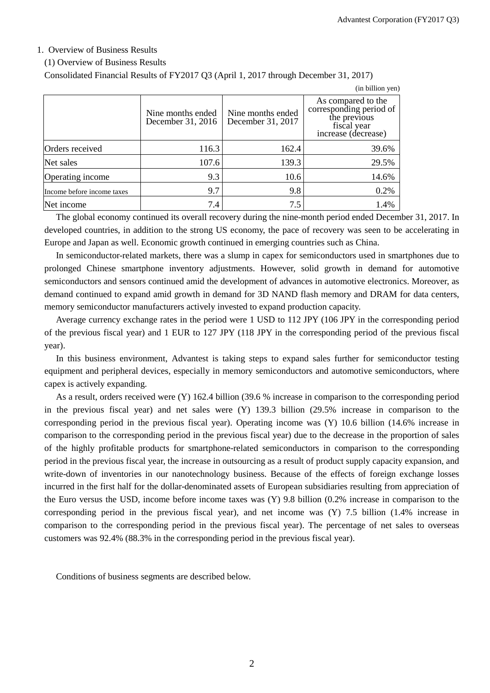## 1. Overview of Business Results

## (1) Overview of Business Results

Consolidated Financial Results of FY2017 Q3 (April 1, 2017 through December 31, 2017)

|                            |                                        |                                        | (in billion yen)                                                                                    |
|----------------------------|----------------------------------------|----------------------------------------|-----------------------------------------------------------------------------------------------------|
|                            | Nine months ended<br>December 31, 2016 | Nine months ended<br>December 31, 2017 | As compared to the<br>corresponding period of<br>the previous<br>fiscal year<br>increase (decrease) |
| Orders received            | 116.3                                  | 162.4                                  | 39.6%                                                                                               |
| Net sales                  | 107.6                                  | 139.3                                  | 29.5%                                                                                               |
| Operating income           | 9.3                                    | 10.6                                   | 14.6%                                                                                               |
| Income before income taxes | 9.7                                    | 9.8                                    | 0.2%                                                                                                |
| Net income                 | 7.4                                    | 7.5                                    | 1.4%                                                                                                |

The global economy continued its overall recovery during the nine-month period ended December 31, 2017. In developed countries, in addition to the strong US economy, the pace of recovery was seen to be accelerating in Europe and Japan as well. Economic growth continued in emerging countries such as China.

In semiconductor-related markets, there was a slump in capex for semiconductors used in smartphones due to prolonged Chinese smartphone inventory adjustments. However, solid growth in demand for automotive semiconductors and sensors continued amid the development of advances in automotive electronics. Moreover, as demand continued to expand amid growth in demand for 3D NAND flash memory and DRAM for data centers, memory semiconductor manufacturers actively invested to expand production capacity.

Average currency exchange rates in the period were 1 USD to 112 JPY (106 JPY in the corresponding period of the previous fiscal year) and 1 EUR to 127 JPY (118 JPY in the corresponding period of the previous fiscal year).

In this business environment, Advantest is taking steps to expand sales further for semiconductor testing equipment and peripheral devices, especially in memory semiconductors and automotive semiconductors, where capex is actively expanding.

As a result, orders received were (Y) 162.4 billion (39.6 % increase in comparison to the corresponding period in the previous fiscal year) and net sales were (Y) 139.3 billion (29.5% increase in comparison to the corresponding period in the previous fiscal year). Operating income was (Y) 10.6 billion (14.6% increase in comparison to the corresponding period in the previous fiscal year) due to the decrease in the proportion of sales of the highly profitable products for smartphone-related semiconductors in comparison to the corresponding period in the previous fiscal year, the increase in outsourcing as a result of product supply capacity expansion, and write-down of inventories in our nanotechnology business. Because of the effects of foreign exchange losses incurred in the first half for the dollar-denominated assets of European subsidiaries resulting from appreciation of the Euro versus the USD, income before income taxes was (Y) 9.8 billion (0.2% increase in comparison to the corresponding period in the previous fiscal year), and net income was (Y) 7.5 billion (1.4% increase in comparison to the corresponding period in the previous fiscal year). The percentage of net sales to overseas customers was 92.4% (88.3% in the corresponding period in the previous fiscal year).

Conditions of business segments are described below.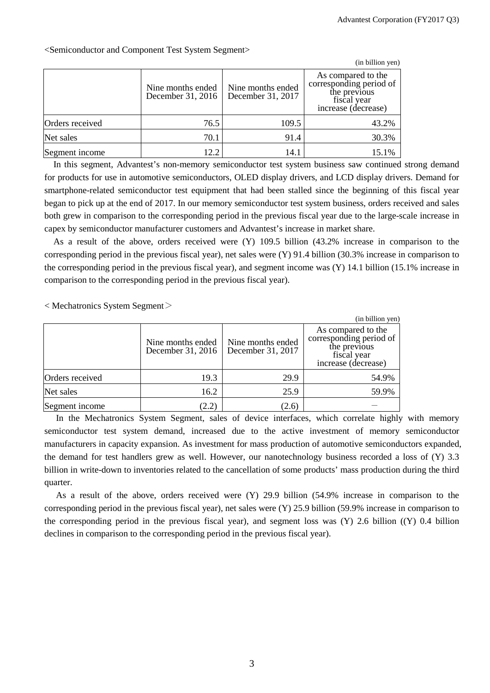|                 |                                        |                                        | (in billion yen)                                                                                    |
|-----------------|----------------------------------------|----------------------------------------|-----------------------------------------------------------------------------------------------------|
|                 | Nine months ended<br>December 31, 2016 | Nine months ended<br>December 31, 2017 | As compared to the<br>corresponding period of<br>the previous<br>fiscal year<br>increase (decrease) |
| Orders received | 76.5                                   | 109.5                                  | 43.2%                                                                                               |
| Net sales       | 70.1                                   | 91.4                                   | 30.3%                                                                                               |
| Segment income  | 12.2                                   | 14.1                                   | 15.1%                                                                                               |

<Semiconductor and Component Test System Segment>

In this segment, Advantest's non-memory semiconductor test system business saw continued strong demand for products for use in automotive semiconductors, OLED display drivers, and LCD display drivers. Demand for smartphone-related semiconductor test equipment that had been stalled since the beginning of this fiscal year began to pick up at the end of 2017. In our memory semiconductor test system business, orders received and sales both grew in comparison to the corresponding period in the previous fiscal year due to the large-scale increase in capex by semiconductor manufacturer customers and Advantest's increase in market share.

As a result of the above, orders received were (Y) 109.5 billion (43.2% increase in comparison to the corresponding period in the previous fiscal year), net sales were (Y) 91.4 billion (30.3% increase in comparison to the corresponding period in the previous fiscal year), and segment income was (Y) 14.1 billion (15.1% increase in comparison to the corresponding period in the previous fiscal year).

< Mechatronics System Segment>

|                 |                                        |                                        | (in billion yen)                                                                                    |
|-----------------|----------------------------------------|----------------------------------------|-----------------------------------------------------------------------------------------------------|
|                 | Nine months ended<br>December 31, 2016 | Nine months ended<br>December 31, 2017 | As compared to the<br>corresponding period of<br>the previous<br>fiscal year<br>increase (decrease) |
| Orders received | 19.3                                   | 29.9                                   | 54.9%                                                                                               |
| Net sales       | 16.2                                   | 25.9                                   | 59.9%                                                                                               |
| Segment income  | (2.2)                                  | (2.6)                                  |                                                                                                     |

In the Mechatronics System Segment, sales of device interfaces, which correlate highly with memory semiconductor test system demand, increased due to the active investment of memory semiconductor manufacturers in capacity expansion. As investment for mass production of automotive semiconductors expanded, the demand for test handlers grew as well. However, our nanotechnology business recorded a loss of (Y) 3.3 billion in write-down to inventories related to the cancellation of some products' mass production during the third quarter.

As a result of the above, orders received were (Y) 29.9 billion (54.9% increase in comparison to the corresponding period in the previous fiscal year), net sales were (Y) 25.9 billion (59.9% increase in comparison to the corresponding period in the previous fiscal year), and segment loss was (Y) 2.6 billion ((Y) 0.4 billion declines in comparison to the corresponding period in the previous fiscal year).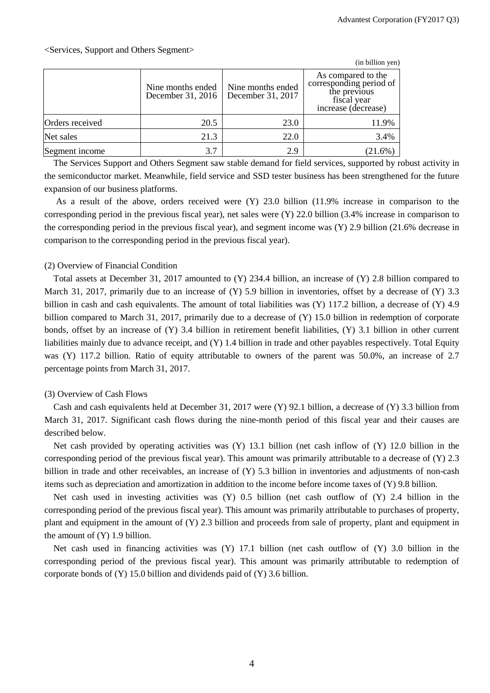|                 |                                        |                                        | (in billion yen)                                                                                    |
|-----------------|----------------------------------------|----------------------------------------|-----------------------------------------------------------------------------------------------------|
|                 | Nine months ended<br>December 31, 2016 | Nine months ended<br>December 31, 2017 | As compared to the<br>corresponding period of<br>the previous<br>fiscal year<br>increase (decrease) |
| Orders received | 20.5                                   | 23.0                                   | 11.9%                                                                                               |
| Net sales       | 21.3                                   | 22.0                                   | 3.4%                                                                                                |
| Segment income  | 3.7                                    | 2.9                                    | 21.6%                                                                                               |

The Services Support and Others Segment saw stable demand for field services, supported by robust activity in the semiconductor market. Meanwhile, field service and SSD tester business has been strengthened for the future expansion of our business platforms.

As a result of the above, orders received were (Y) 23.0 billion (11.9% increase in comparison to the corresponding period in the previous fiscal year), net sales were  $(Y)$  22.0 billion (3.4% increase in comparison to the corresponding period in the previous fiscal year), and segment income was (Y) 2.9 billion (21.6% decrease in comparison to the corresponding period in the previous fiscal year).

## (2) Overview of Financial Condition

Total assets at December 31, 2017 amounted to (Y) 234.4 billion, an increase of (Y) 2.8 billion compared to March 31, 2017, primarily due to an increase of (Y) 5.9 billion in inventories, offset by a decrease of (Y) 3.3 billion in cash and cash equivalents. The amount of total liabilities was (Y) 117.2 billion, a decrease of (Y) 4.9 billion compared to March 31, 2017, primarily due to a decrease of (Y) 15.0 billion in redemption of corporate bonds, offset by an increase of (Y) 3.4 billion in retirement benefit liabilities, (Y) 3.1 billion in other current liabilities mainly due to advance receipt, and (Y) 1.4 billion in trade and other payables respectively. Total Equity was (Y) 117.2 billion. Ratio of equity attributable to owners of the parent was 50.0%, an increase of 2.7 percentage points from March 31, 2017.

### (3) Overview of Cash Flows

Cash and cash equivalents held at December 31, 2017 were (Y) 92.1 billion, a decrease of (Y) 3.3 billion from March 31, 2017. Significant cash flows during the nine-month period of this fiscal year and their causes are described below.

Net cash provided by operating activities was (Y) 13.1 billion (net cash inflow of (Y) 12.0 billion in the corresponding period of the previous fiscal year). This amount was primarily attributable to a decrease of (Y) 2.3 billion in trade and other receivables, an increase of (Y) 5.3 billion in inventories and adjustments of non-cash items such as depreciation and amortization in addition to the income before income taxes of (Y) 9.8 billion.

Net cash used in investing activities was (Y) 0.5 billion (net cash outflow of (Y) 2.4 billion in the corresponding period of the previous fiscal year). This amount was primarily attributable to purchases of property, plant and equipment in the amount of (Y) 2.3 billion and proceeds from sale of property, plant and equipment in the amount of (Y) 1.9 billion.

Net cash used in financing activities was (Y) 17.1 billion (net cash outflow of (Y) 3.0 billion in the corresponding period of the previous fiscal year). This amount was primarily attributable to redemption of corporate bonds of (Y) 15.0 billion and dividends paid of (Y) 3.6 billion.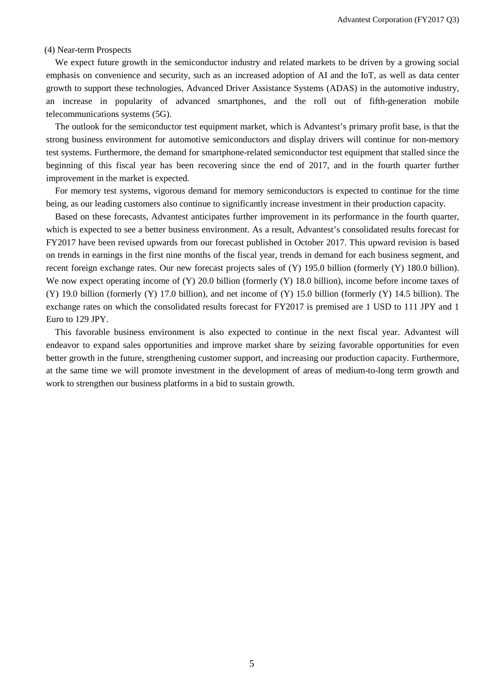## (4) Near-term Prospects

We expect future growth in the semiconductor industry and related markets to be driven by a growing social emphasis on convenience and security, such as an increased adoption of AI and the IoT, as well as data center growth to support these technologies, Advanced Driver Assistance Systems (ADAS) in the automotive industry, an increase in popularity of advanced smartphones, and the roll out of fifth-generation mobile telecommunications systems (5G).

The outlook for the semiconductor test equipment market, which is Advantest's primary profit base, is that the strong business environment for automotive semiconductors and display drivers will continue for non-memory test systems. Furthermore, the demand for smartphone-related semiconductor test equipment that stalled since the beginning of this fiscal year has been recovering since the end of 2017, and in the fourth quarter further improvement in the market is expected.

For memory test systems, vigorous demand for memory semiconductors is expected to continue for the time being, as our leading customers also continue to significantly increase investment in their production capacity.

Based on these forecasts, Advantest anticipates further improvement in its performance in the fourth quarter, which is expected to see a better business environment. As a result, Advantest's consolidated results forecast for FY2017 have been revised upwards from our forecast published in October 2017. This upward revision is based on trends in earnings in the first nine months of the fiscal year, trends in demand for each business segment, and recent foreign exchange rates. Our new forecast projects sales of (Y) 195.0 billion (formerly (Y) 180.0 billion). We now expect operating income of (Y) 20.0 billion (formerly (Y) 18.0 billion), income before income taxes of (Y) 19.0 billion (formerly (Y) 17.0 billion), and net income of (Y) 15.0 billion (formerly (Y) 14.5 billion). The exchange rates on which the consolidated results forecast for FY2017 is premised are 1 USD to 111 JPY and 1 Euro to 129 JPY.

This favorable business environment is also expected to continue in the next fiscal year. Advantest will endeavor to expand sales opportunities and improve market share by seizing favorable opportunities for even better growth in the future, strengthening customer support, and increasing our production capacity. Furthermore, at the same time we will promote investment in the development of areas of medium-to-long term growth and work to strengthen our business platforms in a bid to sustain growth.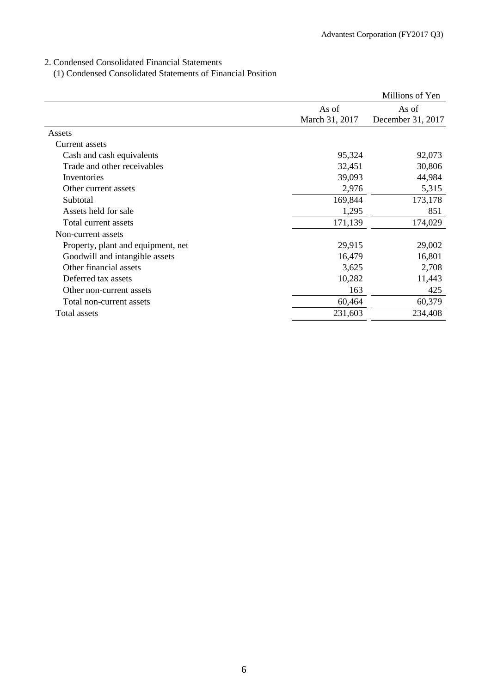2. Condensed Consolidated Financial Statements

(1) Condensed Consolidated Statements of Financial Position

|                                    |                         | Millions of Yen            |
|------------------------------------|-------------------------|----------------------------|
|                                    | As of<br>March 31, 2017 | As of<br>December 31, 2017 |
| Assets                             |                         |                            |
| Current assets                     |                         |                            |
| Cash and cash equivalents          | 95,324                  | 92,073                     |
| Trade and other receivables        | 32,451                  | 30,806                     |
| Inventories                        | 39,093                  | 44,984                     |
| Other current assets               | 2,976                   | 5,315                      |
| Subtotal                           | 169,844                 | 173,178                    |
| Assets held for sale               | 1,295                   | 851                        |
| Total current assets               | 171,139                 | 174,029                    |
| Non-current assets                 |                         |                            |
| Property, plant and equipment, net | 29,915                  | 29,002                     |
| Goodwill and intangible assets     | 16,479                  | 16,801                     |
| Other financial assets             | 3,625                   | 2,708                      |
| Deferred tax assets                | 10,282                  | 11,443                     |
| Other non-current assets           | 163                     | 425                        |
| Total non-current assets           | 60,464                  | 60,379                     |
| Total assets                       | 231,603                 | 234,408                    |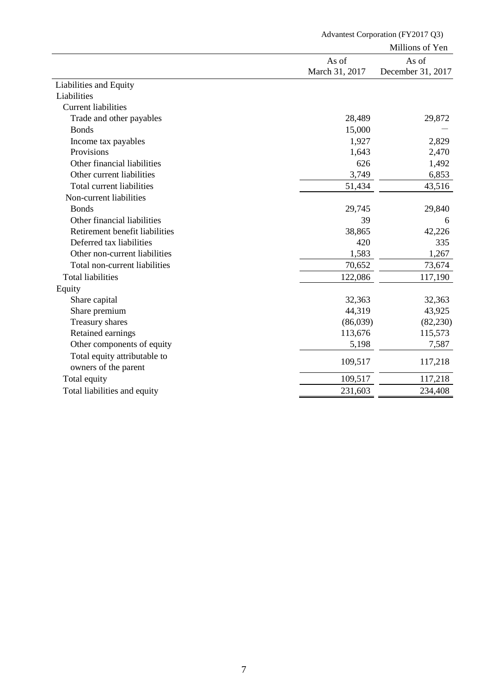|                                |                | Millions of Yen   |
|--------------------------------|----------------|-------------------|
|                                | As of          | As of             |
|                                | March 31, 2017 | December 31, 2017 |
| Liabilities and Equity         |                |                   |
| Liabilities                    |                |                   |
| <b>Current liabilities</b>     |                |                   |
| Trade and other payables       | 28,489         | 29,872            |
| <b>Bonds</b>                   | 15,000         |                   |
| Income tax payables            | 1,927          | 2,829             |
| Provisions                     | 1,643          | 2,470             |
| Other financial liabilities    | 626            | 1,492             |
| Other current liabilities      | 3,749          | 6,853             |
| Total current liabilities      | 51,434         | 43,516            |
| Non-current liabilities        |                |                   |
| <b>Bonds</b>                   | 29,745         | 29,840            |
| Other financial liabilities    | 39             | 6                 |
| Retirement benefit liabilities | 38,865         | 42,226            |
| Deferred tax liabilities       | 420            | 335               |
| Other non-current liabilities  | 1,583          | 1,267             |
| Total non-current liabilities  | 70,652         | 73,674            |
| <b>Total liabilities</b>       | 122,086        | 117,190           |
| Equity                         |                |                   |
| Share capital                  | 32,363         | 32,363            |
| Share premium                  | 44,319         | 43,925            |
| Treasury shares                | (86,039)       | (82, 230)         |
| Retained earnings              | 113,676        | 115,573           |
| Other components of equity     | 5,198          | 7,587             |
| Total equity attributable to   |                |                   |
| owners of the parent           | 109,517        | 117,218           |
| Total equity                   | 109,517        | 117,218           |
| Total liabilities and equity   | 231,603        | 234,408           |

Advantest Corporation (FY2017 Q3)

7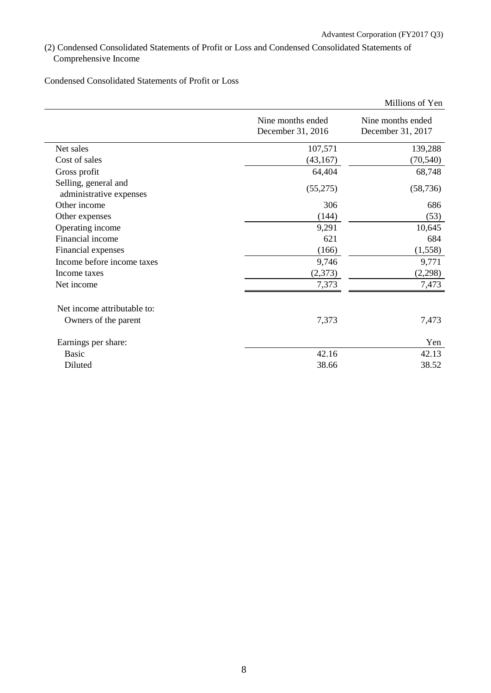(2) Condensed Consolidated Statements of Profit or Loss and Condensed Consolidated Statements of Comprehensive Income

Condensed Consolidated Statements of Profit or Loss

|                                                 |                                        | Millions of Yen                        |
|-------------------------------------------------|----------------------------------------|----------------------------------------|
|                                                 | Nine months ended<br>December 31, 2016 | Nine months ended<br>December 31, 2017 |
| Net sales                                       | 107,571                                | 139,288                                |
| Cost of sales                                   | (43, 167)                              | (70, 540)                              |
| Gross profit                                    | 64,404                                 | 68,748                                 |
| Selling, general and<br>administrative expenses | (55,275)                               | (58, 736)                              |
| Other income                                    | 306                                    | 686                                    |
| Other expenses                                  | (144)                                  | (53)                                   |
| Operating income                                | 9,291                                  | 10,645                                 |
| Financial income                                | 621                                    | 684                                    |
| Financial expenses                              | (166)                                  | (1,558)                                |
| Income before income taxes                      | 9,746                                  | 9,771                                  |
| Income taxes                                    | (2,373)                                | (2,298)                                |
| Net income                                      | 7,373                                  | 7,473                                  |
| Net income attributable to:                     |                                        |                                        |
| Owners of the parent                            | 7,373                                  | 7,473                                  |
| Earnings per share:                             |                                        | Yen                                    |
| <b>Basic</b>                                    | 42.16                                  | 42.13                                  |
| Diluted                                         | 38.66                                  | 38.52                                  |
|                                                 |                                        |                                        |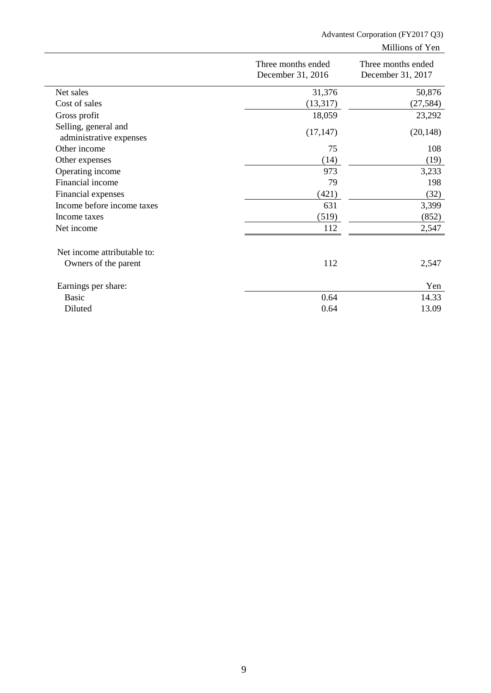# Advantest Corporation (FY2017 Q3)

Millions of Yen

|                                                 | Three months ended<br>December 31, 2016 | Three months ended<br>December 31, 2017 |
|-------------------------------------------------|-----------------------------------------|-----------------------------------------|
| Net sales                                       | 31,376                                  | 50,876                                  |
| Cost of sales                                   | (13,317)                                | (27, 584)                               |
| Gross profit                                    | 18,059                                  | 23,292                                  |
| Selling, general and<br>administrative expenses | (17, 147)                               | (20, 148)                               |
| Other income                                    | 75                                      | 108                                     |
| Other expenses                                  | (14)                                    | (19)                                    |
| Operating income                                | 973                                     | 3,233                                   |
| Financial income                                | 79                                      | 198                                     |
| Financial expenses                              | (421)                                   | (32)                                    |
| Income before income taxes                      | 631                                     | 3,399                                   |
| Income taxes                                    | (519)                                   | (852)                                   |
| Net income                                      | 112                                     | 2,547                                   |
| Net income attributable to:                     |                                         |                                         |
| Owners of the parent                            | 112                                     | 2,547                                   |
| Earnings per share:                             |                                         | Yen                                     |
| Basic                                           | 0.64                                    | 14.33                                   |
| Diluted                                         | 0.64                                    | 13.09                                   |
|                                                 |                                         |                                         |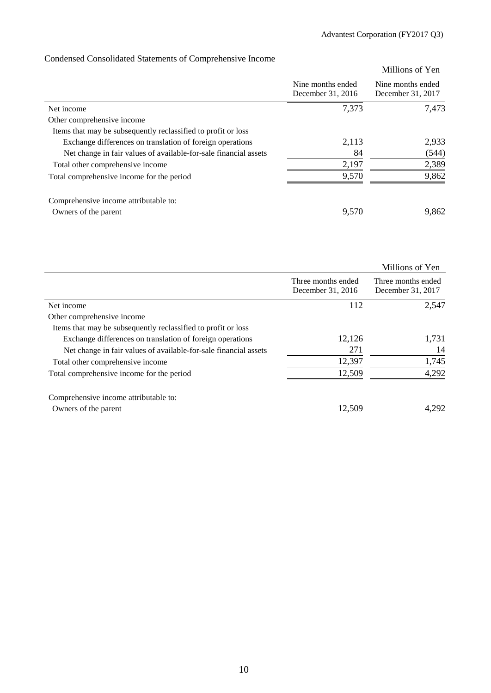# Condensed Consolidated Statements of Comprehensive Income

|                                                                  |                                        | Millions of Yen                        |
|------------------------------------------------------------------|----------------------------------------|----------------------------------------|
|                                                                  | Nine months ended<br>December 31, 2016 | Nine months ended<br>December 31, 2017 |
| Net income                                                       | 7,373                                  | 7,473                                  |
| Other comprehensive income                                       |                                        |                                        |
| Items that may be subsequently reclassified to profit or loss    |                                        |                                        |
| Exchange differences on translation of foreign operations        | 2,113                                  | 2,933                                  |
| Net change in fair values of available-for-sale financial assets | 84                                     | (544)                                  |
| Total other comprehensive income                                 | 2,197                                  | 2,389                                  |
| Total comprehensive income for the period                        | 9,570                                  | 9,862                                  |
| Comprehensive income attributable to:                            |                                        |                                        |
| Owners of the parent                                             | 9,570                                  | 9,862                                  |

|                                                                  |                                         | Millions of Yen                         |
|------------------------------------------------------------------|-----------------------------------------|-----------------------------------------|
|                                                                  | Three months ended<br>December 31, 2016 | Three months ended<br>December 31, 2017 |
| Net income                                                       | 112                                     | 2,547                                   |
| Other comprehensive income                                       |                                         |                                         |
| Items that may be subsequently reclassified to profit or loss    |                                         |                                         |
| Exchange differences on translation of foreign operations        | 12,126                                  | 1,731                                   |
| Net change in fair values of available-for-sale financial assets | 271                                     | 14                                      |
| Total other comprehensive income                                 | 12,397                                  | 1,745                                   |
| Total comprehensive income for the period                        | 12,509                                  | 4,292                                   |
| Comprehensive income attributable to:<br>Owners of the parent    | 12,509                                  | 4.292                                   |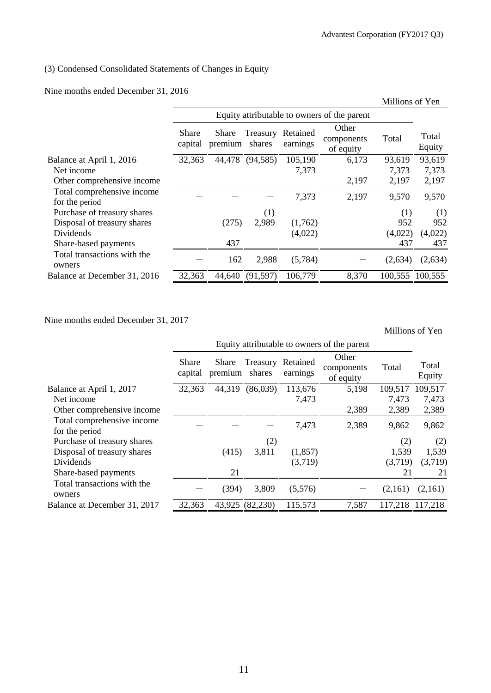Millions of Yen

# (3) Condensed Consolidated Statements of Changes in Equity

Nine months ended December 31, 2016

|                                              |                  |                  |                    |                      |                                             | Millions of Yen |                 |
|----------------------------------------------|------------------|------------------|--------------------|----------------------|---------------------------------------------|-----------------|-----------------|
|                                              |                  |                  |                    |                      | Equity attributable to owners of the parent |                 |                 |
|                                              | Share<br>capital | Share<br>premium | Treasury<br>shares | Retained<br>earnings | Other<br>components<br>of equity            | Total           | Total<br>Equity |
| Balance at April 1, 2016                     | 32,363           | 44,478           | (94, 585)          | 105,190              | 6,173                                       | 93,619          | 93,619          |
| Net income                                   |                  |                  |                    | 7,373                |                                             | 7,373           | 7,373           |
| Other comprehensive income                   |                  |                  |                    |                      | 2,197                                       | 2,197           | 2,197           |
| Total comprehensive income<br>for the period |                  |                  |                    | 7,373                | 2,197                                       | 9,570           | 9,570           |
| Purchase of treasury shares                  |                  |                  | (1)                |                      |                                             | (1)             | (1)             |
| Disposal of treasury shares                  |                  | (275)            | 2,989              | (1,762)              |                                             | 952             | 952             |
| Dividends                                    |                  |                  |                    | (4,022)              |                                             | (4,022)         | (4,022)         |
| Share-based payments                         |                  | 437              |                    |                      |                                             | 437             | 437             |
| Total transactions with the<br>owners        |                  | 162              | 2,988              | (5,784)              |                                             | (2,634)         | (2,634)         |
| Balance at December 31, 2016                 | 32,363           | 44,640           | (91, 597)          | 106,779              | 8,370                                       | 100,555 100,555 |                 |

Nine months ended December 31, 2017

|                                              |                         | Equity attributable to owners of the parent |                    |                      |                                  |         |                 |
|----------------------------------------------|-------------------------|---------------------------------------------|--------------------|----------------------|----------------------------------|---------|-----------------|
|                                              | <b>Share</b><br>capital | Share<br>premium                            | Treasury<br>shares | Retained<br>earnings | Other<br>components<br>of equity | Total   | Total<br>Equity |
| Balance at April 1, 2017                     | 32,363                  | 44,319                                      | (86,039)           | 113,676              | 5,198                            | 109,517 | 109,517         |
| Net income                                   |                         |                                             |                    | 7,473                |                                  | 7,473   | 7,473           |
| Other comprehensive income                   |                         |                                             |                    |                      | 2,389                            | 2,389   | 2,389           |
| Total comprehensive income<br>for the period |                         |                                             |                    | 7,473                | 2,389                            | 9,862   | 9,862           |
| Purchase of treasury shares                  |                         |                                             | (2)                |                      |                                  | (2)     | (2)             |
| Disposal of treasury shares                  |                         | (415)                                       | 3,811              | (1, 857)             |                                  | 1,539   | 1,539           |
| Dividends                                    |                         |                                             |                    | (3,719)              |                                  | (3,719) | (3,719)         |
| Share-based payments                         |                         | 21                                          |                    |                      |                                  | 21      | 21              |
| Total transactions with the<br>owners        |                         | (394)                                       | 3,809              | (5,576)              |                                  | (2,161) | (2,161)         |
| Balance at December 31, 2017                 | 32,363                  | 43,925                                      | (82, 230)          | 115,573              | 7,587                            |         | 117,218 117,218 |
|                                              |                         |                                             |                    |                      |                                  |         |                 |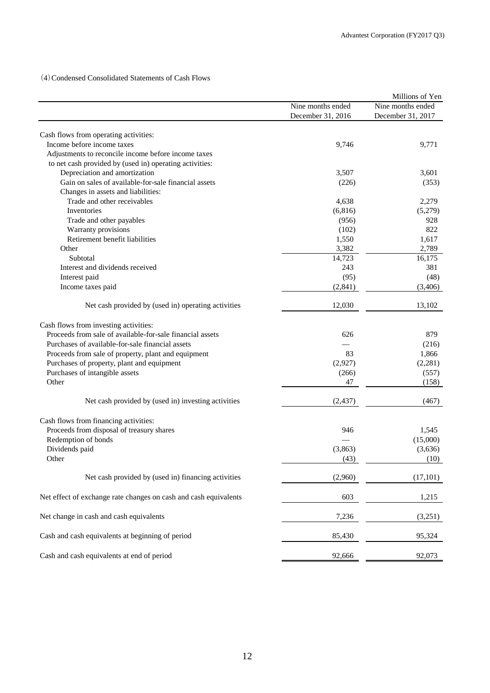(4)Condensed Consolidated Statements of Cash Flows

|                                                                                                    |                   | Millions of Yen   |
|----------------------------------------------------------------------------------------------------|-------------------|-------------------|
|                                                                                                    | Nine months ended | Nine months ended |
|                                                                                                    | December 31, 2016 | December 31, 2017 |
|                                                                                                    |                   |                   |
| Cash flows from operating activities:                                                              |                   |                   |
| Income before income taxes                                                                         | 9,746             | 9,771             |
| Adjustments to reconcile income before income taxes                                                |                   |                   |
| to net cash provided by (used in) operating activities:                                            |                   |                   |
| Depreciation and amortization                                                                      | 3,507             | 3,601             |
| Gain on sales of available-for-sale financial assets                                               | (226)             | (353)             |
| Changes in assets and liabilities:                                                                 |                   |                   |
| Trade and other receivables                                                                        | 4,638             | 2,279             |
| Inventories                                                                                        | (6, 816)          | (5,279)           |
| Trade and other payables                                                                           | (956)             | 928               |
| Warranty provisions                                                                                | (102)             | 822               |
| Retirement benefit liabilities                                                                     | 1,550             | 1,617             |
| Other                                                                                              | 3,382             | 2,789             |
| Subtotal                                                                                           | 14,723            | 16,175            |
| Interest and dividends received                                                                    | 243               | 381               |
| Interest paid                                                                                      | (95)              | (48)              |
| Income taxes paid                                                                                  | (2, 841)          | (3,406)           |
|                                                                                                    |                   |                   |
| Net cash provided by (used in) operating activities                                                | 12,030            | 13,102            |
|                                                                                                    |                   |                   |
| Cash flows from investing activities:<br>Proceeds from sale of available-for-sale financial assets | 626               | 879               |
|                                                                                                    |                   |                   |
| Purchases of available-for-sale financial assets                                                   |                   | (216)             |
| Proceeds from sale of property, plant and equipment                                                | 83                | 1,866             |
| Purchases of property, plant and equipment                                                         | (2,927)           | (2, 281)          |
| Purchases of intangible assets                                                                     | (266)             | (557)             |
| Other                                                                                              | 47                | (158)             |
| Net cash provided by (used in) investing activities                                                | (2, 437)          | (467)             |
|                                                                                                    |                   |                   |
| Cash flows from financing activities:                                                              |                   |                   |
| Proceeds from disposal of treasury shares                                                          | 946               | 1,545             |
| Redemption of bonds                                                                                |                   | (15,000)          |
| Dividends paid                                                                                     | (3, 863)          | (3,636)           |
| Other                                                                                              | (43)              | (10)              |
| Net cash provided by (used in) financing activities                                                | (2,960)           | (17, 101)         |
| Net effect of exchange rate changes on cash and cash equivalents                                   | 603               | 1,215             |
| Net change in cash and cash equivalents                                                            | 7,236             | (3,251)           |
|                                                                                                    |                   |                   |
| Cash and cash equivalents at beginning of period                                                   | 85,430            | 95,324            |
| Cash and cash equivalents at end of period                                                         | 92,666            | 92,073            |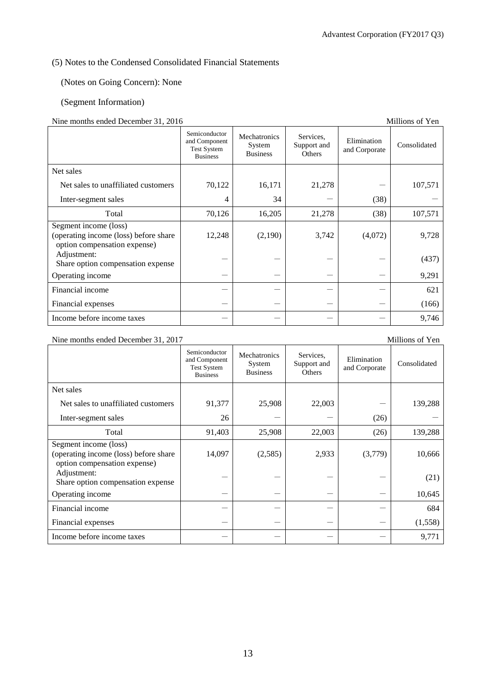# (5) Notes to the Condensed Consolidated Financial Statements

(Notes on Going Concern): None

# (Segment Information)

## Nine months ended December 31, 2016 Millions of Yen

|                                                                                                | Semiconductor<br>and Component<br><b>Test System</b><br><b>Business</b> | Mechatronics<br>System<br><b>Business</b> | Services.<br>Support and<br>Others | Elimination<br>and Corporate | Consolidated |
|------------------------------------------------------------------------------------------------|-------------------------------------------------------------------------|-------------------------------------------|------------------------------------|------------------------------|--------------|
| Net sales                                                                                      |                                                                         |                                           |                                    |                              |              |
| Net sales to unaffiliated customers                                                            | 70,122                                                                  | 16,171                                    | 21,278                             |                              | 107,571      |
| Inter-segment sales                                                                            | 4                                                                       | 34                                        |                                    | (38)                         |              |
| Total                                                                                          | 70,126                                                                  | 16,205                                    | 21,278                             | (38)                         | 107,571      |
| Segment income (loss)<br>(operating income (loss) before share<br>option compensation expense) | 12,248                                                                  | (2,190)                                   | 3,742                              | (4,072)                      | 9,728        |
| Adjustment:<br>Share option compensation expense                                               |                                                                         |                                           |                                    |                              | (437)        |
| Operating income                                                                               |                                                                         |                                           |                                    |                              | 9,291        |
| Financial income                                                                               |                                                                         |                                           |                                    |                              | 621          |
| Financial expenses                                                                             |                                                                         |                                           |                                    |                              | (166)        |
| Income before income taxes                                                                     |                                                                         |                                           |                                    |                              | 9,746        |

# Nine months ended December 31, 2017

| <b>NIE INORUS CRUCU DECERNEL 31, 2017</b>                                                      |                                                                         |                                           |                                    |                              | MILITORIS OL TEIL |
|------------------------------------------------------------------------------------------------|-------------------------------------------------------------------------|-------------------------------------------|------------------------------------|------------------------------|-------------------|
|                                                                                                | Semiconductor<br>and Component<br><b>Test System</b><br><b>Business</b> | Mechatronics<br>System<br><b>Business</b> | Services,<br>Support and<br>Others | Elimination<br>and Corporate | Consolidated      |
| Net sales                                                                                      |                                                                         |                                           |                                    |                              |                   |
| Net sales to unaffiliated customers                                                            | 91,377                                                                  | 25,908                                    | 22,003                             |                              | 139,288           |
| Inter-segment sales                                                                            | 26                                                                      |                                           |                                    | (26)                         |                   |
| Total                                                                                          | 91,403                                                                  | 25,908                                    | 22,003                             | (26)                         | 139,288           |
| Segment income (loss)<br>(operating income (loss) before share<br>option compensation expense) | 14,097                                                                  | (2,585)                                   | 2,933                              | (3,779)                      | 10,666            |
| Adjustment:<br>Share option compensation expense                                               |                                                                         |                                           |                                    |                              | (21)              |
| Operating income                                                                               |                                                                         |                                           |                                    |                              | 10,645            |
| Financial income                                                                               |                                                                         |                                           |                                    |                              | 684               |
| Financial expenses                                                                             |                                                                         |                                           |                                    |                              | (1,558)           |
| Income before income taxes                                                                     |                                                                         |                                           |                                    |                              | 9,771             |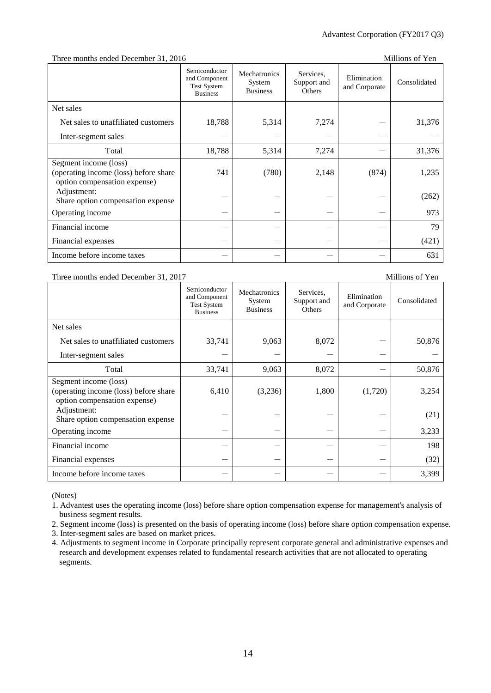#### Three months ended December 31, 2016

| Millions of Yen |
|-----------------|
|                 |

|                                                                                                | Semiconductor<br>and Component<br><b>Test System</b><br><b>Business</b> | Mechatronics<br>System<br><b>Business</b> | Services.<br>Support and<br>Others | Elimination<br>and Corporate | Consolidated |
|------------------------------------------------------------------------------------------------|-------------------------------------------------------------------------|-------------------------------------------|------------------------------------|------------------------------|--------------|
| Net sales                                                                                      |                                                                         |                                           |                                    |                              |              |
| Net sales to unaffiliated customers                                                            | 18,788                                                                  | 5,314                                     | 7,274                              |                              | 31,376       |
| Inter-segment sales                                                                            |                                                                         |                                           |                                    |                              |              |
| Total                                                                                          | 18,788                                                                  | 5,314                                     | 7,274                              |                              | 31,376       |
| Segment income (loss)<br>(operating income (loss) before share<br>option compensation expense) | 741                                                                     | (780)                                     | 2,148                              | (874)                        | 1,235        |
| Adjustment:<br>Share option compensation expense                                               |                                                                         |                                           |                                    |                              | (262)        |
| Operating income                                                                               |                                                                         |                                           |                                    |                              | 973          |
| Financial income                                                                               |                                                                         |                                           |                                    |                              | 79           |
| Financial expenses                                                                             |                                                                         |                                           |                                    |                              | (421)        |
| Income before income taxes                                                                     |                                                                         |                                           |                                    |                              | 631          |

### Three months ended December 31, 2017 Millions of Yen

#### Semiconductor and Component Test System Business Mechatronics System Business Services, Support and **Others** Elimination Elimination Consolidated<br>and Corporate Consolidated Net sales Net sales to unaffiliated customers  $\begin{vmatrix} 33,741 & 9,063 & 8,072 \end{vmatrix}$   $\begin{vmatrix} 8,072 & - \end{vmatrix}$  50,876 Inter-segment sales Total  $33,741$  9,063 8,072 - 50,876 Segment income (loss) (operating income (loss) before share option compensation expense) 6,410 (3,236) 1,800 (1,720) 3,254 Adjustment:  $\left\{\n \begin{array}{ccc}\n - & - & - \\
\end{array}\n \right\}\n = \left\{\n \begin{array}{ccc}\n - & - \\
\end{array}\n \right\}\n = \left\{\n \begin{array}{ccc}\n - & - \\
\end{array}\n \right\}$ (21) Operating income  $-$  3,233 Financial income - - - - 198 Financial expenses  $(32)$ Income before income taxes - - - - 3,399

(Notes)

1. Advantest uses the operating income (loss) before share option compensation expense for management's analysis of business segment results.

2. Segment income (loss) is presented on the basis of operating income (loss) before share option compensation expense.

3. Inter-segment sales are based on market prices.

4. Adjustments to segment income in Corporate principally represent corporate general and administrative expenses and research and development expenses related to fundamental research activities that are not allocated to operating segments.